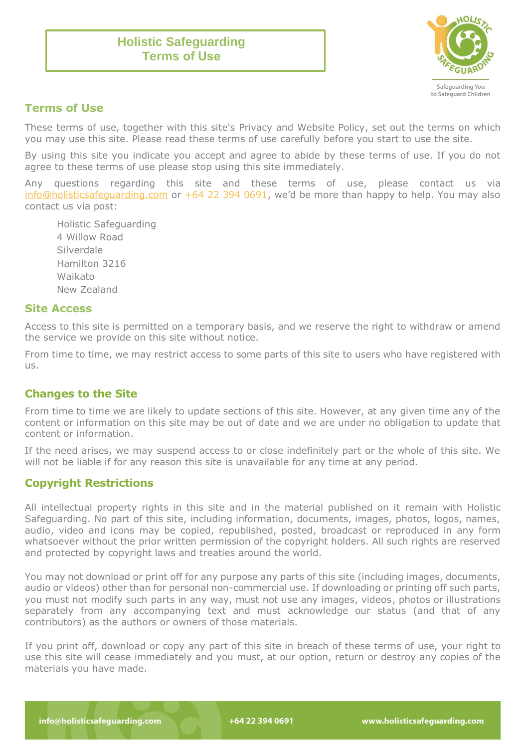# **Holistic Safeguarding Terms of Use**



## **Terms of Use**

These terms of use, together with this site's Privacy and Website Policy, set out the terms on which you may use this site. Please read these terms of use carefully before you start to use the site.

By using this site you indicate you accept and agree to abide by these terms of use. If you do not agree to these terms of use please stop using this site immediately.

Any questions regarding this site and these terms of use, please contact us via [info@holisticsafeguarding.com](mailto:info@holisticsafeguarding.com) or +64 22 394 0691, we'd be more than happy to help. You may also contact us via post:

Holistic Safeguarding 4 Willow Road Silverdale Hamilton 3216 Waikato New Zealand

#### **Site Access**

Access to this site is permitted on a temporary basis, and we reserve the right to withdraw or amend the service we provide on this site without notice.

From time to time, we may restrict access to some parts of this site to users who have registered with us.

## **Changes to the Site**

From time to time we are likely to update sections of this site. However, at any given time any of the content or information on this site may be out of date and we are under no obligation to update that content or information.

If the need arises, we may suspend access to or close indefinitely part or the whole of this site. We will not be liable if for any reason this site is unavailable for any time at any period.

## **Copyright Restrictions**

All intellectual property rights in this site and in the material published on it remain with Holistic Safeguarding. No part of this site, including information, documents, images, photos, logos, names, audio, video and icons may be copied, republished, posted, broadcast or reproduced in any form whatsoever without the prior written permission of the copyright holders. All such rights are reserved and protected by copyright laws and treaties around the world.

You may not download or print off for any purpose any parts of this site (including images, documents, audio or videos) other than for personal non-commercial use. If downloading or printing off such parts, you must not modify such parts in any way, must not use any images, videos, photos or illustrations separately from any accompanying text and must acknowledge our status (and that of any contributors) as the authors or owners of those materials.

If you print off, download or copy any part of this site in breach of these terms of use, your right to use this site will cease immediately and you must, at our option, return or destroy any copies of the materials you have made.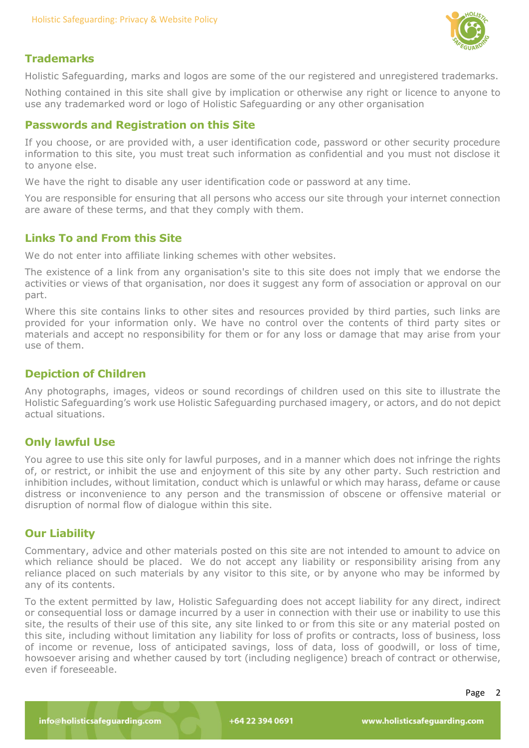

## **Trademarks**

Holistic Safeguarding, marks and logos are some of the our registered and unregistered trademarks.

Nothing contained in this site shall give by implication or otherwise any right or licence to anyone to use any trademarked word or logo of Holistic Safeguarding or any other organisation

### **Passwords and Registration on this Site**

If you choose, or are provided with, a user identification code, password or other security procedure information to this site, you must treat such information as confidential and you must not disclose it to anyone else.

We have the right to disable any user identification code or password at any time.

You are responsible for ensuring that all persons who access our site through your internet connection are aware of these terms, and that they comply with them.

## **Links To and From this Site**

We do not enter into affiliate linking schemes with other websites.

The existence of a link from any organisation's site to this site does not imply that we endorse the activities or views of that organisation, nor does it suggest any form of association or approval on our part.

Where this site contains links to other sites and resources provided by third parties, such links are provided for your information only. We have no control over the contents of third party sites or materials and accept no responsibility for them or for any loss or damage that may arise from your use of them.

## **Depiction of Children**

Any photographs, images, videos or sound recordings of children used on this site to illustrate the Holistic Safeguarding's work use Holistic Safeguarding purchased imagery, or actors, and do not depict actual situations.

## **Only lawful Use**

You agree to use this site only for lawful purposes, and in a manner which does not infringe the rights of, or restrict, or inhibit the use and enjoyment of this site by any other party. Such restriction and inhibition includes, without limitation, conduct which is unlawful or which may harass, defame or cause distress or inconvenience to any person and the transmission of obscene or offensive material or disruption of normal flow of dialogue within this site.

#### **Our Liability**

Commentary, advice and other materials posted on this site are not intended to amount to advice on which reliance should be placed. We do not accept any liability or responsibility arising from any reliance placed on such materials by any visitor to this site, or by anyone who may be informed by any of its contents.

To the extent permitted by law, Holistic Safeguarding does not accept liability for any direct, indirect or consequential loss or damage incurred by a user in connection with their use or inability to use this site, the results of their use of this site, any site linked to or from this site or any material posted on this site, including without limitation any liability for loss of profits or contracts, loss of business, loss of income or revenue, loss of anticipated savings, loss of data, loss of goodwill, or loss of time, howsoever arising and whether caused by tort (including negligence) breach of contract or otherwise, even if foreseeable.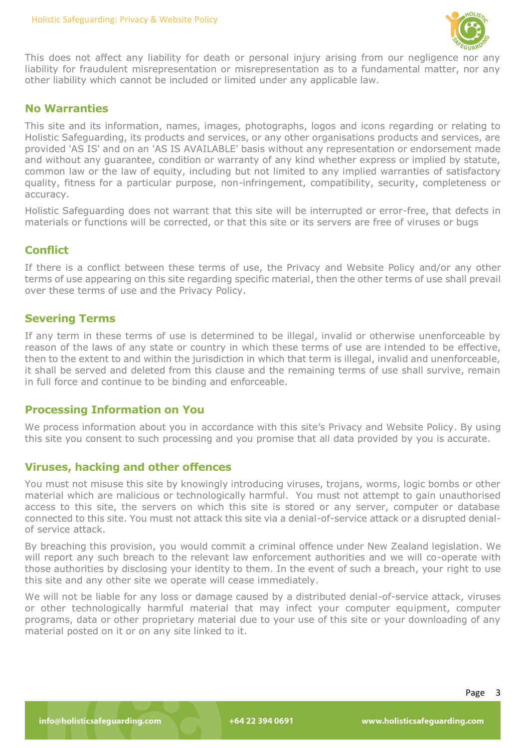

This does not affect any liability for death or personal injury arising from our negligence nor any liability for fraudulent misrepresentation or misrepresentation as to a fundamental matter, nor any other liability which cannot be included or limited under any applicable law.

#### **No Warranties**

This site and its information, names, images, photographs, logos and icons regarding or relating to Holistic Safeguarding, its products and services, or any other organisations products and services, are provided 'AS IS' and on an 'AS IS AVAILABLE' basis without any representation or endorsement made and without any guarantee, condition or warranty of any kind whether express or implied by statute, common law or the law of equity, including but not limited to any implied warranties of satisfactory quality, fitness for a particular purpose, non-infringement, compatibility, security, completeness or accuracy.

Holistic Safeguarding does not warrant that this site will be interrupted or error-free, that defects in materials or functions will be corrected, or that this site or its servers are free of viruses or bugs

## **Conflict**

If there is a conflict between these terms of use, the Privacy and Website Policy and/or any other terms of use appearing on this site regarding specific material, then the other terms of use shall prevail over these terms of use and the Privacy Policy.

## **Severing Terms**

If any term in these terms of use is determined to be illegal, invalid or otherwise unenforceable by reason of the laws of any state or country in which these terms of use are intended to be effective, then to the extent to and within the jurisdiction in which that term is illegal, invalid and unenforceable, it shall be served and deleted from this clause and the remaining terms of use shall survive, remain in full force and continue to be binding and enforceable.

#### **Processing Information on You**

We process information about you in accordance with this site's Privacy and Website Policy. By using this site you consent to such processing and you promise that all data provided by you is accurate.

## **Viruses, hacking and other offences**

You must not misuse this site by knowingly introducing viruses, trojans, worms, logic bombs or other material which are malicious or technologically harmful. You must not attempt to gain unauthorised access to this site, the servers on which this site is stored or any server, computer or database connected to this site. You must not attack this site via a denial-of-service attack or a disrupted denialof service attack.

By breaching this provision, you would commit a criminal offence under New Zealand legislation. We will report any such breach to the relevant law enforcement authorities and we will co-operate with those authorities by disclosing your identity to them. In the event of such a breach, your right to use this site and any other site we operate will cease immediately.

We will not be liable for any loss or damage caused by a distributed denial-of-service attack, viruses or other technologically harmful material that may infect your computer equipment, computer programs, data or other proprietary material due to your use of this site or your downloading of any material posted on it or on any site linked to it.